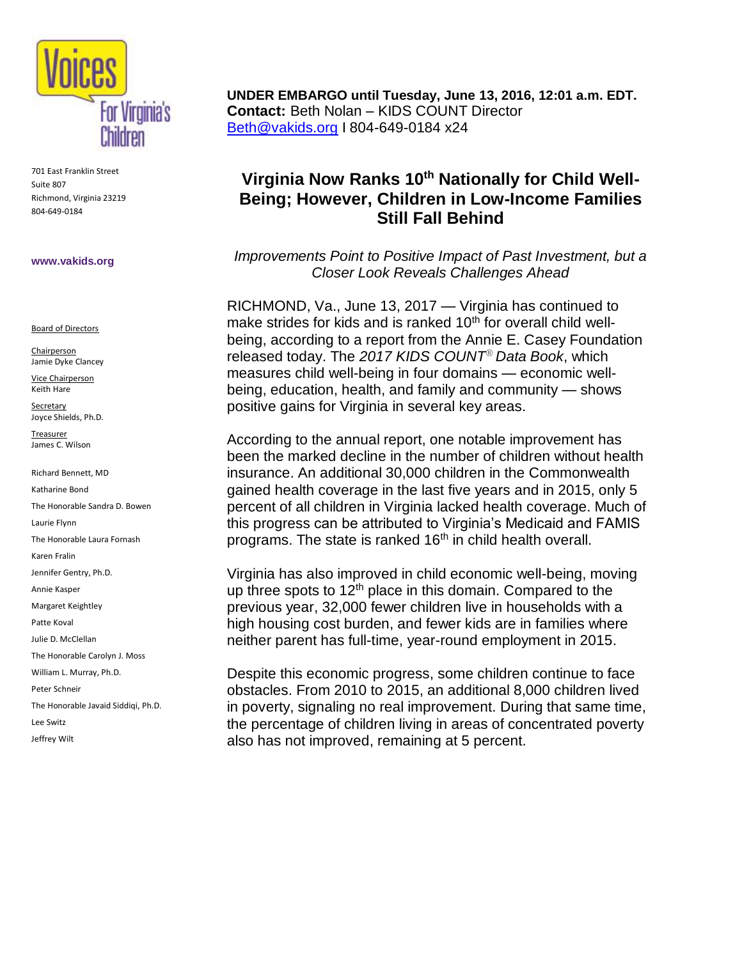

701 East Franklin Street Suite 807 Richmond, Virginia 23219 804-649-0184

#### **www.vakids.org**

Board of Directors

**Chairperson** Jamie Dyke Clancey

Vice Chairperson Keith Hare

Secretary Joyce Shields, Ph.D.

Treasurer James C. Wilson

Richard Bennett, MD Katharine Bond The Honorable Sandra D. Bowen Laurie Flynn The Honorable Laura Fornash Karen Fralin Jennifer Gentry, Ph.D. Annie Kasper Margaret Keightley Patte Koval Julie D. McClellan The Honorable Carolyn J. Moss William L. Murray, Ph.D. Peter Schneir The Honorable Javaid Siddiqi, Ph.D. Lee Switz Jeffrey Wilt

**UNDER EMBARGO until Tuesday, June 13, 2016, 12:01 a.m. EDT. Contact:** Beth Nolan – KIDS COUNT Director [Beth@vakids.org](mailto:Beth@vakids.org) I 804-649-0184 x24

# **Virginia Now Ranks 10th Nationally for Child Well-Being; However, Children in Low-Income Families Still Fall Behind**

*Improvements Point to Positive Impact of Past Investment, but a Closer Look Reveals Challenges Ahead*

RICHMOND, Va., June 13, 2017 — Virginia has continued to make strides for kids and is ranked  $10<sup>th</sup>$  for overall child wellbeing, according to a report from the Annie E. Casey Foundation released today. The *2017 KIDS COUNT® Data Book*, which measures child well-being in four domains — economic wellbeing, education, health, and family and community — shows positive gains for Virginia in several key areas.

According to the annual report, one notable improvement has been the marked decline in the number of children without health insurance. An additional 30,000 children in the Commonwealth gained health coverage in the last five years and in 2015, only 5 percent of all children in Virginia lacked health coverage. Much of this progress can be attributed to Virginia's Medicaid and FAMIS programs. The state is ranked  $16<sup>th</sup>$  in child health overall.

Virginia has also improved in child economic well-being, moving up three spots to  $12<sup>th</sup>$  place in this domain. Compared to the previous year, 32,000 fewer children live in households with a high housing cost burden, and fewer kids are in families where neither parent has full-time, year-round employment in 2015.

Despite this economic progress, some children continue to face obstacles. From 2010 to 2015, an additional 8,000 children lived in poverty, signaling no real improvement. During that same time, the percentage of children living in areas of concentrated poverty also has not improved, remaining at 5 percent.